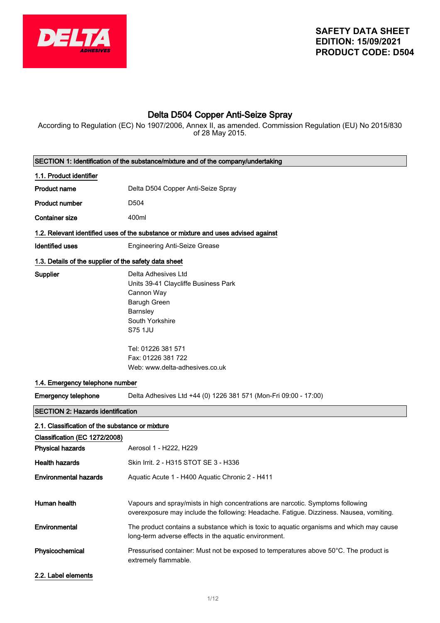

# Delta D504 Copper Anti-Seize Spray

According to Regulation (EC) No 1907/2006, Annex II, as amended. Commission Regulation (EU) No 2015/830 of 28 May 2015.

| SECTION 1: Identification of the substance/mixture and of the company/undertaking              |                                                                                                                                                                                                                   |  |
|------------------------------------------------------------------------------------------------|-------------------------------------------------------------------------------------------------------------------------------------------------------------------------------------------------------------------|--|
| 1.1. Product identifier                                                                        |                                                                                                                                                                                                                   |  |
| <b>Product name</b>                                                                            | Delta D504 Copper Anti-Seize Spray                                                                                                                                                                                |  |
| <b>Product number</b>                                                                          | D504                                                                                                                                                                                                              |  |
| <b>Container size</b>                                                                          | 400ml                                                                                                                                                                                                             |  |
|                                                                                                | 1.2. Relevant identified uses of the substance or mixture and uses advised against                                                                                                                                |  |
| <b>Identified uses</b>                                                                         | <b>Engineering Anti-Seize Grease</b>                                                                                                                                                                              |  |
| 1.3. Details of the supplier of the safety data sheet                                          |                                                                                                                                                                                                                   |  |
| Supplier                                                                                       | Delta Adhesives Ltd<br>Units 39-41 Claycliffe Business Park<br>Cannon Way<br>Barugh Green<br>Barnsley<br>South Yorkshire<br>S75 1JU<br>Tel: 01226 381 571<br>Fax: 01226 381 722<br>Web: www.delta-adhesives.co.uk |  |
| 1.4. Emergency telephone number                                                                |                                                                                                                                                                                                                   |  |
| <b>Emergency telephone</b><br>Delta Adhesives Ltd +44 (0) 1226 381 571 (Mon-Fri 09:00 - 17:00) |                                                                                                                                                                                                                   |  |
| <b>SECTION 2: Hazards identification</b>                                                       |                                                                                                                                                                                                                   |  |
| 2.1. Classification of the substance or mixture                                                |                                                                                                                                                                                                                   |  |
| Classification (EC 1272/2008)                                                                  |                                                                                                                                                                                                                   |  |
| <b>Physical hazards</b>                                                                        | Aerosol 1 - H222, H229                                                                                                                                                                                            |  |
| <b>Health hazards</b>                                                                          | Skin Irrit. 2 - H315 STOT SE 3 - H336                                                                                                                                                                             |  |
| <b>Environmental hazards</b>                                                                   | Aquatic Acute 1 - H400 Aquatic Chronic 2 - H411                                                                                                                                                                   |  |
| Human health                                                                                   | Vapours and spray/mists in high concentrations are narcotic. Symptoms following<br>overexposure may include the following: Headache. Fatigue. Dizziness. Nausea, vomiting.                                        |  |
| Environmental                                                                                  | The product contains a substance which is toxic to aquatic organisms and which may cause<br>long-term adverse effects in the aquatic environment.                                                                 |  |
| Physicochemical                                                                                | Pressurised container: Must not be exposed to temperatures above $50^{\circ}$ C. The product is<br>extremely flammable.                                                                                           |  |
| 2.2. Label elements                                                                            |                                                                                                                                                                                                                   |  |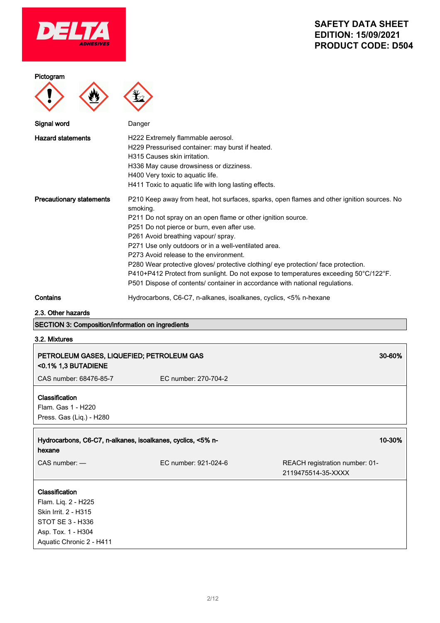

#### Pictogram



| Signal word                     | Danger                                                                                                       |
|---------------------------------|--------------------------------------------------------------------------------------------------------------|
| <b>Hazard statements</b>        | H222 Extremely flammable aerosol.                                                                            |
|                                 | H229 Pressurised container: may burst if heated.                                                             |
|                                 | H315 Causes skin irritation.                                                                                 |
|                                 | H336 May cause drowsiness or dizziness.                                                                      |
|                                 | H400 Very toxic to aquatic life.                                                                             |
|                                 | H411 Toxic to aquatic life with long lasting effects.                                                        |
| <b>Precautionary statements</b> | P210 Keep away from heat, hot surfaces, sparks, open flames and other ignition sources. No<br>smoking.       |
|                                 | P211 Do not spray on an open flame or other ignition source.                                                 |
|                                 | P251 Do not pierce or burn, even after use.                                                                  |
|                                 | P261 Avoid breathing vapour/ spray.                                                                          |
|                                 | P271 Use only outdoors or in a well-ventilated area.                                                         |
|                                 | P273 Avoid release to the environment.                                                                       |
|                                 | P280 Wear protective gloves/ protective clothing/ eye protection/ face protection.                           |
|                                 | $P410+P412$ Protect from sunlight. Do not expose to temperatures exceeding 50 $^{\circ}$ C/122 $^{\circ}$ F. |
|                                 | P501 Dispose of contents/ container in accordance with national regulations.                                 |

Contains **Contains** Hydrocarbons, C6-C7, n-alkanes, isoalkanes, cyclics, <5% n-hexane

2.3. Other hazards

# SECTION 3: Composition/information on ingredients

3.2. Mixtures

 $\overline{1}$ 

| PETROLEUM GASES, LIQUEFIED; PETROLEUM GAS<br><0.1% 1,3 BUTADIENE                                                                           |                      | 30-60%                                               |
|--------------------------------------------------------------------------------------------------------------------------------------------|----------------------|------------------------------------------------------|
| CAS number: 68476-85-7                                                                                                                     | EC number: 270-704-2 |                                                      |
| <b>Classification</b><br>Flam. Gas 1 - H220<br>Press. Gas (Liq.) - H280                                                                    |                      |                                                      |
| Hydrocarbons, C6-C7, n-alkanes, isoalkanes, cyclics, <5% n-<br>hexane                                                                      |                      | 10-30%                                               |
| $CAS$ number: $-$                                                                                                                          | EC number: 921-024-6 | REACH registration number: 01-<br>2119475514-35-XXXX |
| <b>Classification</b><br>Flam. Liq. 2 - H225<br>Skin Irrit. 2 - H315<br>STOT SE 3 - H336<br>Asp. Tox. 1 - H304<br>Aquatic Chronic 2 - H411 |                      |                                                      |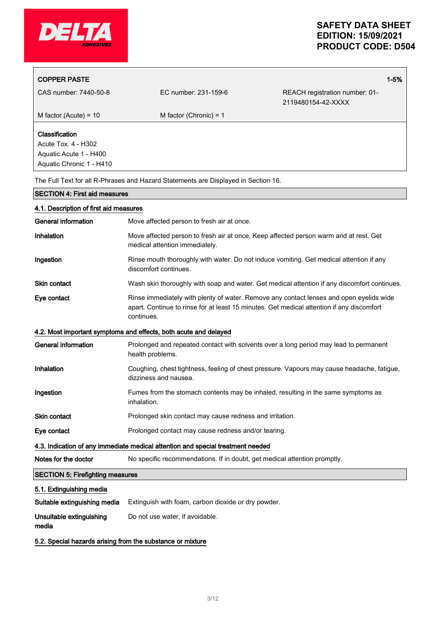

| <b>COPPER PASTE</b>                                                                                |                                            |                                                                                       | $1 - 5%$ |
|----------------------------------------------------------------------------------------------------|--------------------------------------------|---------------------------------------------------------------------------------------|----------|
| CAS number: 7440-50-8                                                                              | EC number: 231-159-6                       | REACH registration number: 01-<br>2119480154-42-XXXX                                  |          |
| M factor (Acute) = $10$                                                                            | M factor (Chronic) = $1$                   |                                                                                       |          |
| <b>Classification</b><br>Acute Tox. 4 - H302<br>Aquatic Acute 1 - H400<br>Aquatic Chronic 1 - H410 |                                            |                                                                                       |          |
| The Full Text for all R-Phrases and Hazard Statements are Displayed in Section 16.                 |                                            |                                                                                       |          |
| <b>SECTION 4: First aid measures</b>                                                               |                                            |                                                                                       |          |
| 4.1. Description of first aid measures                                                             |                                            |                                                                                       |          |
| <b>General information</b>                                                                         | Move affected person to fresh air at once. |                                                                                       |          |
| <b>Inhalation</b>                                                                                  |                                            | Move affected person to fresh air at once. Keep affected person warm and at rest. Get |          |

Ingestion **Rinse mouth thoroughly with water.** Do not induce vomiting. Get medical attention if any

Skin contact **Wash skin thoroughly with soap and water.** Get medical attention if any discomfort continues.

apart. Continue to rinse for at least 15 minutes. Get medical attention if any discomfort

Eye contact Rinse immediately with plenty of water. Remove any contact lenses and open eyelids wide

General information **Prolonged and repeated contact with solvents** over a long period may lead to permanent

Ingestion Fumes from the stomach contents may be inhaled, resulting in the same symptoms as

Inhalation Coughing, chest tightness, feeling of chest pressure. Vapours may cause headache, fatigue,

medical attention immediately.

discomfort continues.

continues.

inhalation.

SECTION 5: Firefighting measures

5.1. Extinguishing media

Unsuitable extinguishing

media

health problems.

dizziness and nausea.

Skin contact **Prolonged skin contact may cause redness and irritation.** 

Notes for the doctor No specific recommendations. If in doubt, get medical attention promptly.

Eye contact **Prolonged contact may cause redness and/or tearing.** 

Suitable extinguishing media Extinguish with foam, carbon dioxide or dry powder.

5.2. Special hazards arising from the substance or mixture

Do not use water, if avoidable.

4.3. Indication of any immediate medical attention and special treatment needed

4.2. Most important symptoms and effects, both acute and delayed

3/ 12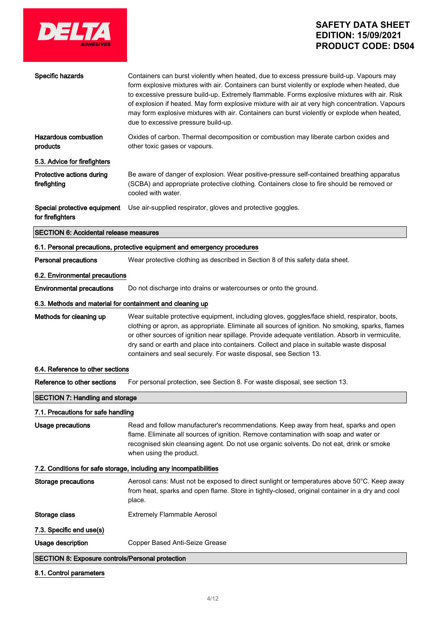

| Specific hazards                                                  | Containers can burst violently when heated, due to excess pressure build-up. Vapours may<br>form explosive mixtures with air. Containers can burst violently or explode when heated, due<br>to excessive pressure build-up. Extremely flammable. Forms explosive mixtures with air. Risk<br>of explosion if heated. May form explosive mixture with air at very high concentration. Vapours<br>may form explosive mixtures with air. Containers can burst violently or explode when heated,<br>due to excessive pressure build-up. |  |
|-------------------------------------------------------------------|------------------------------------------------------------------------------------------------------------------------------------------------------------------------------------------------------------------------------------------------------------------------------------------------------------------------------------------------------------------------------------------------------------------------------------------------------------------------------------------------------------------------------------|--|
| <b>Hazardous combustion</b><br>products                           | Oxides of carbon. Thermal decomposition or combustion may liberate carbon oxides and<br>other toxic gases or vapours.                                                                                                                                                                                                                                                                                                                                                                                                              |  |
| 5.3. Advice for firefighters                                      |                                                                                                                                                                                                                                                                                                                                                                                                                                                                                                                                    |  |
| Protective actions during<br>firefighting                         | Be aware of danger of explosion. Wear positive-pressure self-contained breathing apparatus<br>(SCBA) and appropriate protective clothing. Containers close to fire should be removed or<br>cooled with water.                                                                                                                                                                                                                                                                                                                      |  |
| Special protective equipment<br>for firefighters                  | Use air-supplied respirator, gloves and protective goggles.                                                                                                                                                                                                                                                                                                                                                                                                                                                                        |  |
| <b>SECTION 6: Accidental release measures</b>                     |                                                                                                                                                                                                                                                                                                                                                                                                                                                                                                                                    |  |
|                                                                   | 6.1. Personal precautions, protective equipment and emergency procedures                                                                                                                                                                                                                                                                                                                                                                                                                                                           |  |
| <b>Personal precautions</b>                                       | Wear protective clothing as described in Section 8 of this safety data sheet.                                                                                                                                                                                                                                                                                                                                                                                                                                                      |  |
| 6.2. Environmental precautions                                    |                                                                                                                                                                                                                                                                                                                                                                                                                                                                                                                                    |  |
| <b>Environmental precautions</b>                                  | Do not discharge into drains or watercourses or onto the ground.                                                                                                                                                                                                                                                                                                                                                                                                                                                                   |  |
| 6.3. Methods and material for containment and cleaning up         |                                                                                                                                                                                                                                                                                                                                                                                                                                                                                                                                    |  |
| Methods for cleaning up                                           | Wear suitable protective equipment, including gloves, goggles/face shield, respirator, boots,<br>clothing or apron, as appropriate. Eliminate all sources of ignition. No smoking, sparks, flames<br>or other sources of ignition near spillage. Provide adequate ventilation. Absorb in vermiculite,<br>dry sand or earth and place into containers. Collect and place in suitable waste disposal<br>containers and seal securely. For waste disposal, see Section 13.                                                            |  |
| 6.4. Reference to other sections                                  |                                                                                                                                                                                                                                                                                                                                                                                                                                                                                                                                    |  |
| Reference to other sections                                       | For personal protection, see Section 8. For waste disposal, see section 13.                                                                                                                                                                                                                                                                                                                                                                                                                                                        |  |
| <b>SECTION 7: Handling and storage</b>                            |                                                                                                                                                                                                                                                                                                                                                                                                                                                                                                                                    |  |
| 7.1. Precautions for safe handling                                |                                                                                                                                                                                                                                                                                                                                                                                                                                                                                                                                    |  |
| Usage precautions                                                 | Read and follow manufacturer's recommendations. Keep away from heat, sparks and open<br>flame. Eliminate all sources of ignition. Remove contamination with soap and water or<br>recognised skin cleansing agent. Do not use organic solvents. Do not eat, drink or smoke<br>when using the product.                                                                                                                                                                                                                               |  |
| 7.2. Conditions for safe storage, including any incompatibilities |                                                                                                                                                                                                                                                                                                                                                                                                                                                                                                                                    |  |
| <b>Storage precautions</b>                                        | Aerosol cans: Must not be exposed to direct sunlight or temperatures above 50°C. Keep away<br>from heat, sparks and open flame. Store in tightly-closed, original container in a dry and cool<br>place.                                                                                                                                                                                                                                                                                                                            |  |
| Storage class                                                     | <b>Extremely Flammable Aerosol</b>                                                                                                                                                                                                                                                                                                                                                                                                                                                                                                 |  |
| 7.3. Specific end use(s)                                          |                                                                                                                                                                                                                                                                                                                                                                                                                                                                                                                                    |  |
| Usage description                                                 | Copper Based Anti-Seize Grease                                                                                                                                                                                                                                                                                                                                                                                                                                                                                                     |  |
| <b>SECTION 8: Exposure controls/Personal protection</b>           |                                                                                                                                                                                                                                                                                                                                                                                                                                                                                                                                    |  |

### 8.1. Control parameters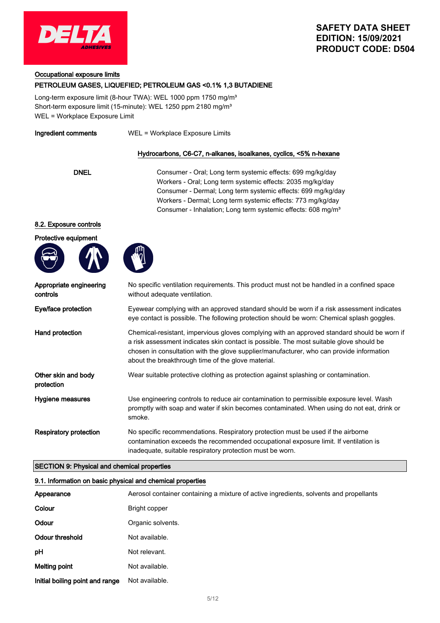

#### Occupational exposure limits

#### PETROLEUM GASES, LIQUEFIED; PETROLEUM GAS <0.1% 1,3 BUTADIENE

Long-term exposure limit (8-hour TWA): WEL 1000 ppm 1750 mg/m<sup>3</sup> Short-term exposure limit (15-minute): WEL 1250 ppm 2180 mg/m<sup>3</sup> WEL = Workplace Exposure Limit

Ingredient comments WEL = Workplace Exposure Limits

#### Hydrocarbons, C6-C7, n-alkanes, isoalkanes, cyclics, <5% n-hexane

DNEL Consumer - Oral; Long term systemic effects: 699 mg/kg/day Workers - Oral; Long term systemic effects: 2035 mg/kg/day Consumer - Dermal; Long term systemic effects: 699 mg/kg/day Workers - Dermal; Long term systemic effects: 773 mg/kg/day Consumer - Inhalation; Long term systemic effects: 608 mg/m<sup>3</sup>

#### 8.2. Exposure controls

Protective equipment





| Appropriate engineering<br>controls | No specific ventilation requirements. This product must not be handled in a confined space<br>without adequate ventilation.                                                                                                                                                                                                              |
|-------------------------------------|------------------------------------------------------------------------------------------------------------------------------------------------------------------------------------------------------------------------------------------------------------------------------------------------------------------------------------------|
| Eye/face protection                 | Eyewear complying with an approved standard should be worn if a risk assessment indicates<br>eye contact is possible. The following protection should be worn: Chemical splash goggles.                                                                                                                                                  |
| Hand protection                     | Chemical-resistant, impervious gloves complying with an approved standard should be worn if<br>a risk assessment indicates skin contact is possible. The most suitable glove should be<br>chosen in consultation with the glove supplier/manufacturer, who can provide information<br>about the breakthrough time of the glove material. |
| Other skin and body<br>protection   | Wear suitable protective clothing as protection against splashing or contamination.                                                                                                                                                                                                                                                      |
| Hygiene measures                    | Use engineering controls to reduce air contamination to permissible exposure level. Wash<br>promptly with soap and water if skin becomes contaminated. When using do not eat, drink or<br>smoke.                                                                                                                                         |
| <b>Respiratory protection</b>       | No specific recommendations. Respiratory protection must be used if the airborne<br>contamination exceeds the recommended occupational exposure limit. If ventilation is<br>inadequate, suitable respiratory protection must be worn.                                                                                                    |

#### SECTION 9: Physical and chemical properties

# 9.1. Information on basic physical and chemical properties Appearance **A**erosol container containing a mixture of active ingredients, solvents and propellants Colour Bright copper Odour **Organic solvents.** Odour threshold Not available. pH Not relevant. Melting point **Not** available. Initial boiling point and range Not available.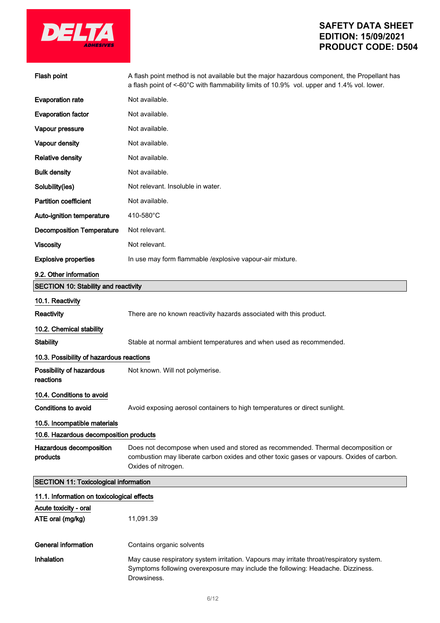

| Flash point                                                            | A flash point method is not available but the major hazardous component, the Propellant has<br>a flash point of <-60°C with flammability limits of 10.9% vol. upper and 1.4% vol. lower.             |  |
|------------------------------------------------------------------------|------------------------------------------------------------------------------------------------------------------------------------------------------------------------------------------------------|--|
| <b>Evaporation rate</b>                                                | Not available.                                                                                                                                                                                       |  |
| <b>Evaporation factor</b>                                              | Not available.                                                                                                                                                                                       |  |
| Vapour pressure                                                        | Not available.                                                                                                                                                                                       |  |
| Vapour density                                                         | Not available.                                                                                                                                                                                       |  |
| <b>Relative density</b>                                                | Not available.                                                                                                                                                                                       |  |
| <b>Bulk density</b>                                                    | Not available.                                                                                                                                                                                       |  |
| Solubility(ies)                                                        | Not relevant. Insoluble in water.                                                                                                                                                                    |  |
| <b>Partition coefficient</b>                                           | Not available.                                                                                                                                                                                       |  |
| Auto-ignition temperature                                              | 410-580°C                                                                                                                                                                                            |  |
| <b>Decomposition Temperature</b>                                       | Not relevant.                                                                                                                                                                                        |  |
| <b>Viscosity</b>                                                       | Not relevant.                                                                                                                                                                                        |  |
| <b>Explosive properties</b>                                            | In use may form flammable /explosive vapour-air mixture.                                                                                                                                             |  |
| 9.2. Other information                                                 |                                                                                                                                                                                                      |  |
| <b>SECTION 10: Stability and reactivity</b>                            |                                                                                                                                                                                                      |  |
| 10.1. Reactivity                                                       |                                                                                                                                                                                                      |  |
| Reactivity                                                             | There are no known reactivity hazards associated with this product.                                                                                                                                  |  |
| 10.2. Chemical stability                                               |                                                                                                                                                                                                      |  |
| <b>Stability</b>                                                       | Stable at normal ambient temperatures and when used as recommended.                                                                                                                                  |  |
| 10.3. Possibility of hazardous reactions                               |                                                                                                                                                                                                      |  |
| Possibility of hazardous<br>reactions                                  | Not known. Will not polymerise.                                                                                                                                                                      |  |
| 10.4. Conditions to avoid                                              |                                                                                                                                                                                                      |  |
| <b>Conditions to avoid</b>                                             | Avoid exposing aerosol containers to high temperatures or direct sunlight.                                                                                                                           |  |
| 10.5. Incompatible materials<br>10.6. Hazardous decomposition products |                                                                                                                                                                                                      |  |
| Hazardous decomposition<br>products                                    | Does not decompose when used and stored as recommended. Thermal decomposition or<br>combustion may liberate carbon oxides and other toxic gases or vapours. Oxides of carbon.<br>Oxides of nitrogen. |  |
| <b>SECTION 11: Toxicological information</b>                           |                                                                                                                                                                                                      |  |
| 11.1. Information on toxicological effects                             |                                                                                                                                                                                                      |  |
| Acute toxicity - oral                                                  |                                                                                                                                                                                                      |  |
| ATE oral (mg/kg)                                                       | 11,091.39                                                                                                                                                                                            |  |
| <b>General information</b>                                             | Contains organic solvents                                                                                                                                                                            |  |
| Inhalation                                                             | May cause respiratory system irritation. Vapours may irritate throat/respiratory system.                                                                                                             |  |
|                                                                        | Symptoms following overexposure may include the following: Headache. Dizziness.<br>Drowsiness.                                                                                                       |  |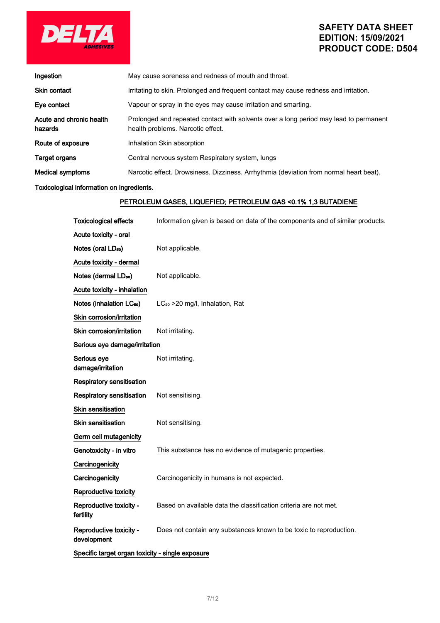

| Ingestion                           | May cause soreness and redness of mouth and throat.                                                                        |
|-------------------------------------|----------------------------------------------------------------------------------------------------------------------------|
| <b>Skin contact</b>                 | Irritating to skin. Prolonged and frequent contact may cause redness and irritation.                                       |
| Eye contact                         | Vapour or spray in the eyes may cause irritation and smarting.                                                             |
| Acute and chronic health<br>hazards | Prolonged and repeated contact with solvents over a long period may lead to permanent<br>health problems. Narcotic effect. |
| Route of exposure                   | Inhalation Skin absorption                                                                                                 |
| <b>Target organs</b>                | Central nervous system Respiratory system, lungs                                                                           |
| <b>Medical symptoms</b>             | Narcotic effect. Drowsiness. Dizziness. Arrhythmia (deviation from normal heart beat).                                     |

### Toxicological information on ingredients.

### PETROLEUM GASES, LIQUEFIED; PETROLEUM GAS <0.1% 1,3 BUTADIENE

| <b>Toxicological effects</b>                     | Information given is based on data of the components and of similar products. |
|--------------------------------------------------|-------------------------------------------------------------------------------|
| Acute toxicity - oral                            |                                                                               |
| Notes (oral LD <sub>50</sub> )                   | Not applicable.                                                               |
| Acute toxicity - dermal                          |                                                                               |
| Notes (dermal LD <sub>50</sub> )                 | Not applicable.                                                               |
| Acute toxicity - inhalation                      |                                                                               |
| Notes (inhalation LC <sub>50</sub> )             | LC <sub>50</sub> > 20 mg/l, Inhalation, Rat                                   |
| Skin corrosion/irritation                        |                                                                               |
| Skin corrosion/irritation                        | Not irritating.                                                               |
| Serious eye damage/irritation                    |                                                                               |
| Serious eye<br>damage/irritation                 | Not irritating.                                                               |
| Respiratory sensitisation                        |                                                                               |
| <b>Respiratory sensitisation</b>                 | Not sensitising.                                                              |
| <b>Skin sensitisation</b>                        |                                                                               |
| <b>Skin sensitisation</b>                        | Not sensitising.                                                              |
| Germ cell mutagenicity                           |                                                                               |
| Genotoxicity - in vitro                          | This substance has no evidence of mutagenic properties.                       |
| Carcinogenicity                                  |                                                                               |
| Carcinogenicity                                  | Carcinogenicity in humans is not expected.                                    |
| Reproductive toxicity                            |                                                                               |
| Reproductive toxicity -<br>fertility             | Based on available data the classification criteria are not met.              |
| Reproductive toxicity -<br>development           | Does not contain any substances known to be toxic to reproduction.            |
| Specific target organ toxicity - single exposure |                                                                               |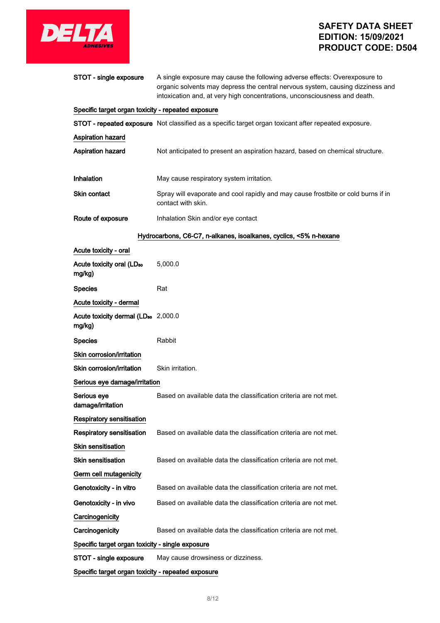

| STOT - single exposure                                    | A single exposure may cause the following adverse effects: Overexposure to<br>organic solvents may depress the central nervous system, causing dizziness and<br>intoxication and, at very high concentrations, unconsciousness and death. |
|-----------------------------------------------------------|-------------------------------------------------------------------------------------------------------------------------------------------------------------------------------------------------------------------------------------------|
| Specific target organ toxicity - repeated exposure        |                                                                                                                                                                                                                                           |
|                                                           | STOT - repeated exposure Not classified as a specific target organ toxicant after repeated exposure.                                                                                                                                      |
| <b>Aspiration hazard</b>                                  |                                                                                                                                                                                                                                           |
| <b>Aspiration hazard</b>                                  | Not anticipated to present an aspiration hazard, based on chemical structure.                                                                                                                                                             |
| Inhalation                                                | May cause respiratory system irritation.                                                                                                                                                                                                  |
| Skin contact                                              | Spray will evaporate and cool rapidly and may cause frostbite or cold burns if in<br>contact with skin.                                                                                                                                   |
| Route of exposure                                         | Inhalation Skin and/or eye contact                                                                                                                                                                                                        |
|                                                           | Hydrocarbons, C6-C7, n-alkanes, isoalkanes, cyclics, <5% n-hexane                                                                                                                                                                         |
| Acute toxicity - oral                                     |                                                                                                                                                                                                                                           |
| Acute toxicity oral (LD <sub>50</sub><br>mg/kg)           | 5,000.0                                                                                                                                                                                                                                   |
| <b>Species</b>                                            | Rat                                                                                                                                                                                                                                       |
| Acute toxicity - dermal                                   |                                                                                                                                                                                                                                           |
| Acute toxicity dermal (LD <sub>50</sub> 2,000.0<br>mg/kg) |                                                                                                                                                                                                                                           |
| <b>Species</b>                                            | Rabbit                                                                                                                                                                                                                                    |
| Skin corrosion/irritation                                 |                                                                                                                                                                                                                                           |
| Skin corrosion/irritation                                 | Skin irritation.                                                                                                                                                                                                                          |
| Serious eye damage/irritation                             |                                                                                                                                                                                                                                           |
| Serious eye<br>damage/irritation                          | Based on available data the classification criteria are not met.                                                                                                                                                                          |
| <b>Respiratory sensitisation</b>                          |                                                                                                                                                                                                                                           |
| <b>Respiratory sensitisation</b>                          | Based on available data the classification criteria are not met.                                                                                                                                                                          |
| Skin sensitisation                                        |                                                                                                                                                                                                                                           |
| <b>Skin sensitisation</b>                                 | Based on available data the classification criteria are not met.                                                                                                                                                                          |
| Germ cell mutagenicity                                    |                                                                                                                                                                                                                                           |
| Genotoxicity - in vitro                                   | Based on available data the classification criteria are not met.                                                                                                                                                                          |
| Genotoxicity - in vivo                                    | Based on available data the classification criteria are not met.                                                                                                                                                                          |
| Carcinogenicity                                           |                                                                                                                                                                                                                                           |
| Carcinogenicity                                           | Based on available data the classification criteria are not met.                                                                                                                                                                          |
| Specific target organ toxicity - single exposure          |                                                                                                                                                                                                                                           |
| STOT - single exposure                                    | May cause drowsiness or dizziness.                                                                                                                                                                                                        |
| Specific target organ toxicity - repeated exposure        |                                                                                                                                                                                                                                           |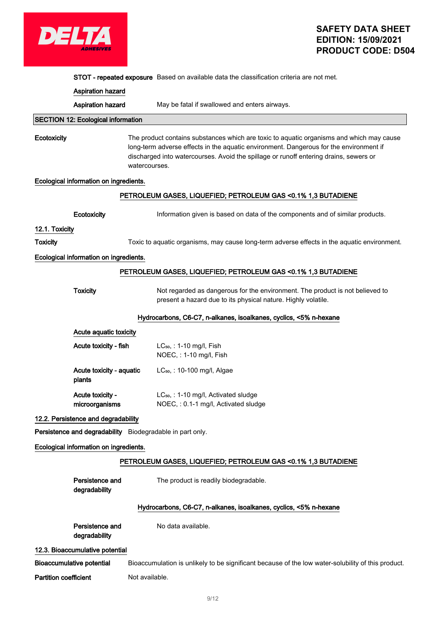

STOT - repeated exposure Based on available data the classification criteria are not met.

|                                                               | <b>Aspiration hazard</b>                  |                                                                                                                                                                                                                                                                                              |
|---------------------------------------------------------------|-------------------------------------------|----------------------------------------------------------------------------------------------------------------------------------------------------------------------------------------------------------------------------------------------------------------------------------------------|
|                                                               | Aspiration hazard                         | May be fatal if swallowed and enters airways.                                                                                                                                                                                                                                                |
|                                                               | <b>SECTION 12: Ecological information</b> |                                                                                                                                                                                                                                                                                              |
| Ecotoxicity                                                   |                                           | The product contains substances which are toxic to aquatic organisms and which may cause<br>long-term adverse effects in the aquatic environment. Dangerous for the environment if<br>discharged into watercourses. Avoid the spillage or runoff entering drains, sewers or<br>watercourses. |
|                                                               | Ecological information on ingredients.    |                                                                                                                                                                                                                                                                                              |
|                                                               |                                           | PETROLEUM GASES, LIQUEFIED; PETROLEUM GAS <0.1% 1,3 BUTADIENE                                                                                                                                                                                                                                |
|                                                               | Ecotoxicity                               | Information given is based on data of the components and of similar products.                                                                                                                                                                                                                |
| 12.1. Toxicity                                                |                                           |                                                                                                                                                                                                                                                                                              |
| <b>Toxicity</b>                                               |                                           | Toxic to aquatic organisms, may cause long-term adverse effects in the aquatic environment.                                                                                                                                                                                                  |
|                                                               | Ecological information on ingredients.    |                                                                                                                                                                                                                                                                                              |
|                                                               |                                           | PETROLEUM GASES, LIQUEFIED; PETROLEUM GAS < 0.1% 1,3 BUTADIENE                                                                                                                                                                                                                               |
|                                                               | <b>Toxicity</b>                           | Not regarded as dangerous for the environment. The product is not believed to<br>present a hazard due to its physical nature. Highly volatile.                                                                                                                                               |
|                                                               |                                           | Hydrocarbons, C6-C7, n-alkanes, isoalkanes, cyclics, <5% n-hexane                                                                                                                                                                                                                            |
|                                                               | Acute aquatic toxicity                    |                                                                                                                                                                                                                                                                                              |
|                                                               | Acute toxicity - fish                     | LC <sub>50</sub> , : 1-10 mg/l, Fish<br>NOEC, : 1-10 mg/l, Fish                                                                                                                                                                                                                              |
|                                                               | Acute toxicity - aquatic<br>plants        | LC <sub>50</sub> , : 10-100 mg/l, Algae                                                                                                                                                                                                                                                      |
|                                                               | Acute toxicity -<br>microorganisms        | LC <sub>50</sub> , : 1-10 mg/l, Activated sludge<br>NOEC, : 0.1-1 mg/l, Activated sludge                                                                                                                                                                                                     |
|                                                               | 12.2. Persistence and degradability       |                                                                                                                                                                                                                                                                                              |
| Persistence and degradability Biodegradable in part only.     |                                           |                                                                                                                                                                                                                                                                                              |
|                                                               | Ecological information on ingredients.    |                                                                                                                                                                                                                                                                                              |
| PETROLEUM GASES, LIQUEFIED; PETROLEUM GAS <0.1% 1,3 BUTADIENE |                                           |                                                                                                                                                                                                                                                                                              |
|                                                               | Persistence and<br>degradability          | The product is readily biodegradable.                                                                                                                                                                                                                                                        |
|                                                               |                                           | Hydrocarbons, C6-C7, n-alkanes, isoalkanes, cyclics, <5% n-hexane                                                                                                                                                                                                                            |
|                                                               | Persistence and                           | No data available.                                                                                                                                                                                                                                                                           |
|                                                               | degradability                             |                                                                                                                                                                                                                                                                                              |
|                                                               | 12.3. Bioaccumulative potential           |                                                                                                                                                                                                                                                                                              |
|                                                               | <b>Bioaccumulative potential</b>          | Bioaccumulation is unlikely to be significant because of the low water-solubility of this product.                                                                                                                                                                                           |
| <b>Partition coefficient</b>                                  |                                           | Not available.                                                                                                                                                                                                                                                                               |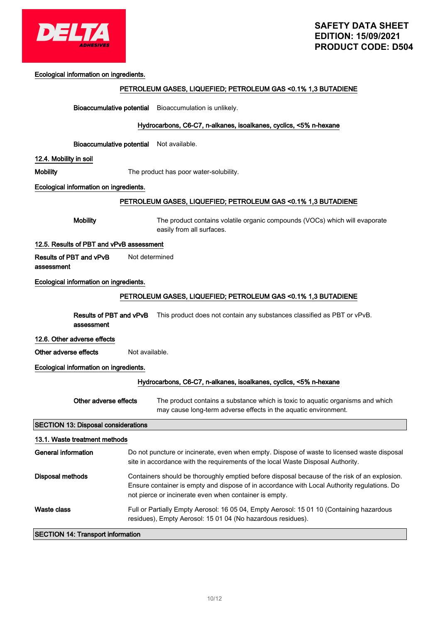

Ecological information on ingredients.

### PETROLEUM GASES, LIQUEFIED; PETROLEUM GAS <0.1% 1,3 BUTADIENE

Bioaccumulative potential Bioaccumulation is unlikely.

#### Hydrocarbons, C6-C7, n-alkanes, isoalkanes, cyclics, <5% n-hexane

Bioaccumulative potential Not available.

#### 12.4. Mobility in soil

Mobility **Mobility** The product has poor water-solubility.

#### Ecological information on ingredients.

#### PETROLEUM GASES, LIQUEFIED; PETROLEUM GAS <0.1% 1,3 BUTADIENE

Mobility The product contains volatile organic compounds (VOCs) which will evaporate easily from all surfaces.

#### 12.5. Results of PBT and vPvB assessment

Results of PBT and vPvB Not determined

assessment

### Ecological information on ingredients.

#### PETROLEUM GASES, LIQUEFIED; PETROLEUM GAS <0.1% 1,3 BUTADIENE

**Results of PBT and vPvB** This product does not contain any substances classified as PBT or vPvB. assessment

#### 12.6. Other adverse effects

Other adverse effects Not available.

#### Ecological information on ingredients.

#### Hydrocarbons, C6-C7, n-alkanes, isoalkanes, cyclics, <5% n-hexane

| Other adverse effects | The product contains a substance which is toxic to aquatic organisms and which |
|-----------------------|--------------------------------------------------------------------------------|
|                       | may cause long-term adverse effects in the aquatic environment.                |

### SECTION 13: Disposal considerations

| 13.1. Waste treatment methods            |                                                                                                                                                                                                                                                       |  |
|------------------------------------------|-------------------------------------------------------------------------------------------------------------------------------------------------------------------------------------------------------------------------------------------------------|--|
| General information                      | Do not puncture or incinerate, even when empty. Dispose of waste to licensed waste disposal<br>site in accordance with the requirements of the local Waste Disposal Authority.                                                                        |  |
| Disposal methods                         | Containers should be thoroughly emptied before disposal because of the risk of an explosion.<br>Ensure container is empty and dispose of in accordance with Local Authority regulations. Do<br>not pierce or incinerate even when container is empty. |  |
| Waste class                              | Full or Partially Empty Aerosol: 16 05 04, Empty Aerosol: 15 01 10 (Containing hazardous<br>residues), Empty Aerosol: 15 01 04 (No hazardous residues).                                                                                               |  |
| <b>SECTION 14: Transport information</b> |                                                                                                                                                                                                                                                       |  |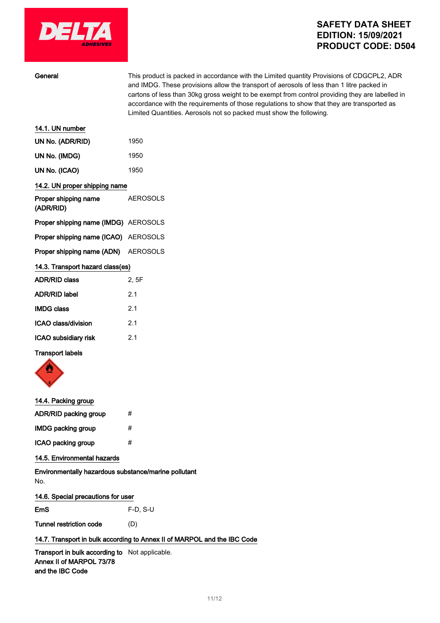

| General                              | This product is packed in accordance with the Limited quantity Provisions of CDGCPL2, ADR<br>and IMDG. These provisions allow the transport of aerosols of less than 1 litre packed in<br>cartons of less than 30kg gross weight to be exempt from control providing they are labelled in<br>accordance with the requirements of those regulations to show that they are transported as<br>Limited Quantities. Aerosols not so packed must show the following. |  |  |
|--------------------------------------|----------------------------------------------------------------------------------------------------------------------------------------------------------------------------------------------------------------------------------------------------------------------------------------------------------------------------------------------------------------------------------------------------------------------------------------------------------------|--|--|
| 14.1. UN number                      |                                                                                                                                                                                                                                                                                                                                                                                                                                                                |  |  |
| UN No. (ADR/RID)                     | 1950                                                                                                                                                                                                                                                                                                                                                                                                                                                           |  |  |
| UN No. (IMDG)                        | 1950                                                                                                                                                                                                                                                                                                                                                                                                                                                           |  |  |
| UN No. (ICAO)                        | 1950                                                                                                                                                                                                                                                                                                                                                                                                                                                           |  |  |
| 14.2. UN proper shipping name        |                                                                                                                                                                                                                                                                                                                                                                                                                                                                |  |  |
| Proper shipping name<br>(ADR/RID)    | <b>AEROSOLS</b>                                                                                                                                                                                                                                                                                                                                                                                                                                                |  |  |
| Proper shipping name (IMDG) AEROSOLS |                                                                                                                                                                                                                                                                                                                                                                                                                                                                |  |  |
| Proper shipping name (ICAO) AEROSOLS |                                                                                                                                                                                                                                                                                                                                                                                                                                                                |  |  |
| Proper shipping name (ADN)           | <b>AEROSOLS</b>                                                                                                                                                                                                                                                                                                                                                                                                                                                |  |  |
| 14.3. Transport hazard class(es)     |                                                                                                                                                                                                                                                                                                                                                                                                                                                                |  |  |
| <b>ADR/RID class</b>                 | 2, 5F                                                                                                                                                                                                                                                                                                                                                                                                                                                          |  |  |
| <b>ADR/RID label</b>                 | 2.1                                                                                                                                                                                                                                                                                                                                                                                                                                                            |  |  |
| <b>IMDG class</b>                    | 2.1                                                                                                                                                                                                                                                                                                                                                                                                                                                            |  |  |
| <b>ICAO class/division</b>           | 2.1                                                                                                                                                                                                                                                                                                                                                                                                                                                            |  |  |
| ICAO subsidiary risk                 | 2.1                                                                                                                                                                                                                                                                                                                                                                                                                                                            |  |  |
| <b>Transport labels</b>              |                                                                                                                                                                                                                                                                                                                                                                                                                                                                |  |  |



### 14.4. Packing group

| ADR/RID packing group     | # |
|---------------------------|---|
| <b>IMDG packing group</b> | # |
| ICAO packing group        | # |

### 14.5. Environmental hazards

Environmentally hazardous substance/marine pollutant No.

### 14.6. Special precautions for user

EmS F-D, S-U

Tunnel restriction code (D)

### 14.7. Transport in bulk according to Annex II of MARPOL and the IBC Code

Transport in bulk according to Not applicable. Annex II of MARPOL 73/78 and the IBC Code